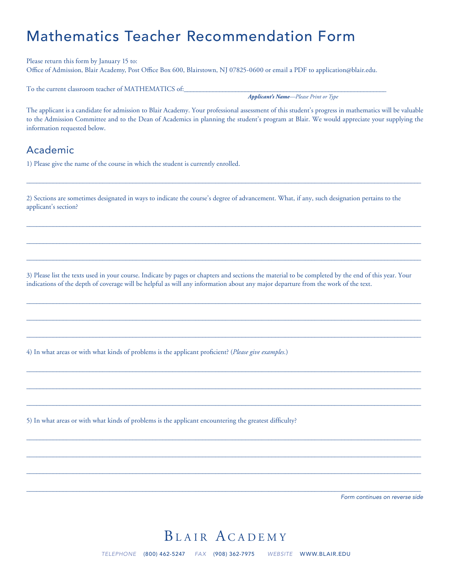# Mathematics Teacher Recommendation Form

Please return this form by January 15 to: Office of Admission, Blair Academy, Post Office Box 600, Blairstown, NJ 07825-0600 or email a PDF to application@blair.edu.

To the current classroom teacher of MATHEMATICS of:

*Applicant's Name—Please Print or Type*

The applicant is a candidate for admission to Blair Academy. Your professional assessment of this student's progress in mathematics will be valuable to the Admission Committee and to the Dean of Academics in planning the student's program at Blair. We would appreciate your supplying the information requested below.

#### Academic

1) Please give the name of the course in which the student is currently enrolled.

2) Sections are sometimes designated in ways to indicate the course's degree of advancement. What, if any, such designation pertains to the applicant's section?

 $\_$  , and the set of the set of the set of the set of the set of the set of the set of the set of the set of the set of the set of the set of the set of the set of the set of the set of the set of the set of the set of th

 $\_$  , and the set of the set of the set of the set of the set of the set of the set of the set of the set of the set of the set of the set of the set of the set of the set of the set of the set of the set of the set of th

 $\_$  , and the set of the set of the set of the set of the set of the set of the set of the set of the set of the set of the set of the set of the set of the set of the set of the set of the set of the set of the set of th

 $\_$  , and the set of the set of the set of the set of the set of the set of the set of the set of the set of the set of the set of the set of the set of the set of the set of the set of the set of the set of the set of th

3) Please list the texts used in your course. Indicate by pages or chapters and sections the material to be completed by the end of this year. Your indications of the depth of coverage will be helpful as will any information about any major departure from the work of the text.

 $\_$  , and the set of the set of the set of the set of the set of the set of the set of the set of the set of the set of the set of the set of the set of the set of the set of the set of the set of the set of the set of th

 $\_$  , and the set of the set of the set of the set of the set of the set of the set of the set of the set of the set of the set of the set of the set of the set of the set of the set of the set of the set of the set of th

 $\_$  , and the set of the set of the set of the set of the set of the set of the set of the set of the set of the set of the set of the set of the set of the set of the set of the set of the set of the set of the set of th

 $\_$  , and the set of the set of the set of the set of the set of the set of the set of the set of the set of the set of the set of the set of the set of the set of the set of the set of the set of the set of the set of th

 $\_$  , and the set of the set of the set of the set of the set of the set of the set of the set of the set of the set of the set of the set of the set of the set of the set of the set of the set of the set of the set of th

 $\_$  , and the set of the set of the set of the set of the set of the set of the set of the set of the set of the set of the set of the set of the set of the set of the set of the set of the set of the set of the set of th

 $\_$  , and the set of the set of the set of the set of the set of the set of the set of the set of the set of the set of the set of the set of the set of the set of the set of the set of the set of the set of the set of th

 $\_$  , and the set of the set of the set of the set of the set of the set of the set of the set of the set of the set of the set of the set of the set of the set of the set of the set of the set of the set of the set of th

 $\_$  , and the set of the set of the set of the set of the set of the set of the set of the set of the set of the set of the set of the set of the set of the set of the set of the set of the set of the set of the set of th

 $\_$  , and the set of the set of the set of the set of the set of the set of the set of the set of the set of the set of the set of the set of the set of the set of the set of the set of the set of the set of the set of th

4) In what areas or with what kinds of problems is the applicant proficient? (*Please give examples.*)

5) In what areas or with what kinds of problems is the applicant encountering the greatest difficulty?

*Form continues on reverse side*

## BLAIR ACADEMY

*TELEPHONE* (800) 462-5247 *FAX* (908) 362-7975 *WEBSITE* WWW.BLAIR.EDU